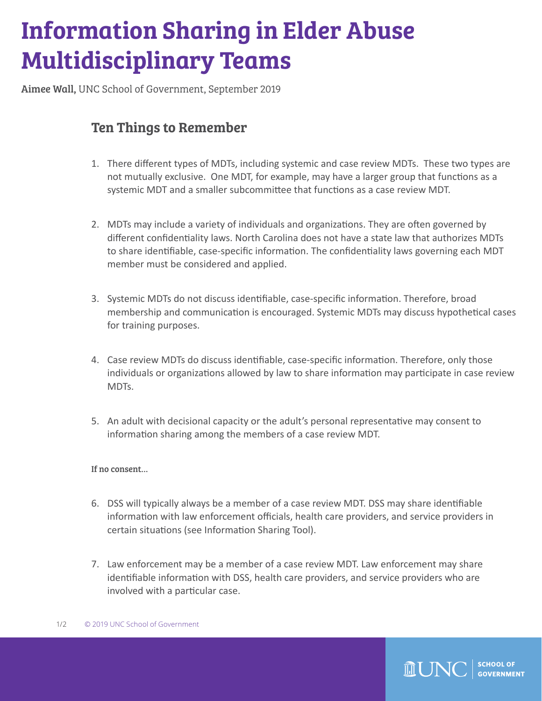## Information Sharing in Elder Abuse Multidisciplinary Teams

Aimee Wall, UNC School of Government, September 2019

## Ten Things to Remember

- 1. There different types of MDTs, including systemic and case review MDTs. These two types are not mutually exclusive. One MDT, for example, may have a larger group that functions as a systemic MDT and a smaller subcommittee that functions as a case review MDT.
- 2. MDTs may include a variety of individuals and organizations. They are often governed by different confidentiality laws. North Carolina does not have a state law that authorizes MDTs to share identifiable, case-specific information. The confidentiality laws governing each MDT member must be considered and applied.
- 3. Systemic MDTs do not discuss identifiable, case-specific information. Therefore, broad membership and communication is encouraged. Systemic MDTs may discuss hypothetical cases for training purposes.
- 4. Case review MDTs do discuss identifiable, case-specific information. Therefore, only those individuals or organizations allowed by law to share information may participate in case review MDTs.
- 5. An adult with decisional capacity or the adult's personal representative may consent to information sharing among the members of a case review MDT.

## If no consent…

- 6. DSS will typically always be a member of a case review MDT. DSS may share identifiable information with law enforcement officials, health care providers, and service providers in certain situations (see Information Sharing Tool).
- 7. Law enforcement may be a member of a case review MDT. Law enforcement may share identifiable information with DSS, health care providers, and service providers who are involved with a particular case.